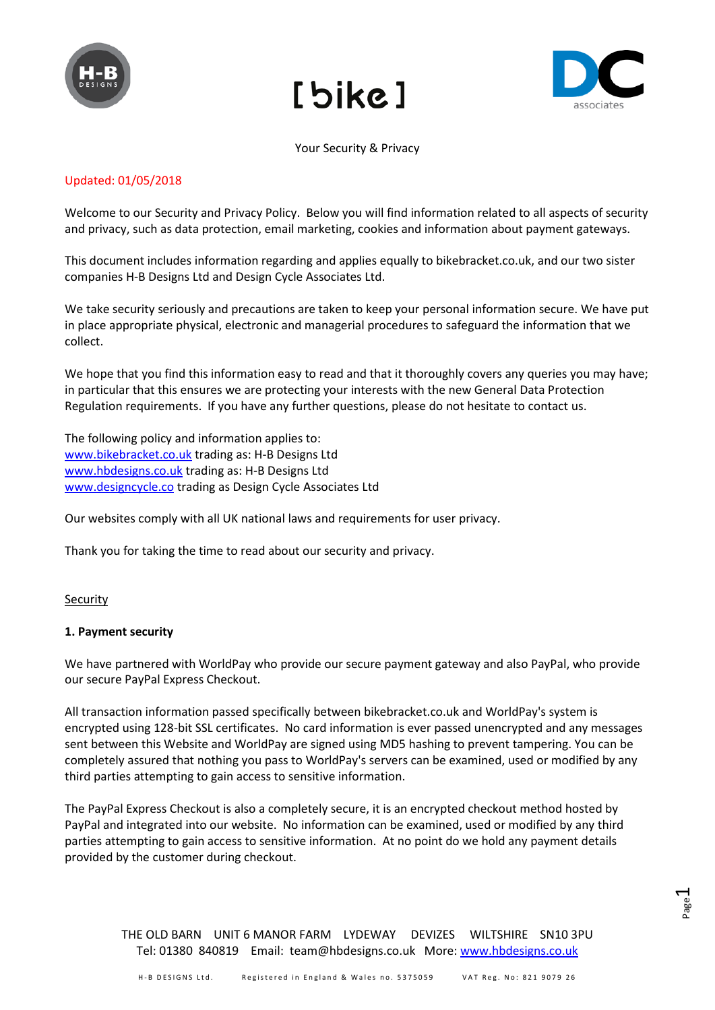





Page  $\overline{\phantom{0}}$ 

Your Security & Privacy

# Updated: 01/05/2018

Welcome to our Security and Privacy Policy. Below you will find information related to all aspects of security and privacy, such as data protection, email marketing, cookies and information about payment gateways.

This document includes information regarding and applies equally to bikebracket.co.uk, and our two sister companies H-B Designs Ltd and Design Cycle Associates Ltd.

We take security seriously and precautions are taken to keep your personal information secure. We have put in place appropriate physical, electronic and managerial procedures to safeguard the information that we collect.

We hope that you find this information easy to read and that it thoroughly covers any queries you may have; in particular that this ensures we are protecting your interests with the new General Data Protection Regulation requirements. If you have any further questions, please do not hesitate to contact us.

The following policy and information applies to: [www.bikebracket.co.uk](http://www.bikebracket.co.uk/) trading as: H-B Designs Ltd [www.hbdesigns.co.uk](http://www.hbdesigns.co.uk/) trading as: H-B Designs Ltd [www.designcycle.co](http://www.designcycle.co/) trading as Design Cycle Associates Ltd

Our websites comply with all UK national laws and requirements for user privacy.

Thank you for taking the time to read about our security and privacy.

## Security

## **1. Payment security**

We have partnered with WorldPay who provide our secure payment gateway and also PayPal, who provide our secure PayPal Express Checkout.

All transaction information passed specifically between bikebracket.co.uk and WorldPay's system is encrypted using 128-bit SSL certificates. No card information is ever passed unencrypted and any messages sent between this Website and WorldPay are signed using MD5 hashing to prevent tampering. You can be completely assured that nothing you pass to WorldPay's servers can be examined, used or modified by any third parties attempting to gain access to sensitive information.

The PayPal Express Checkout is also a completely secure, it is an encrypted checkout method hosted by PayPal and integrated into our website. No information can be examined, used or modified by any third parties attempting to gain access to sensitive information. At no point do we hold any payment details provided by the customer during checkout.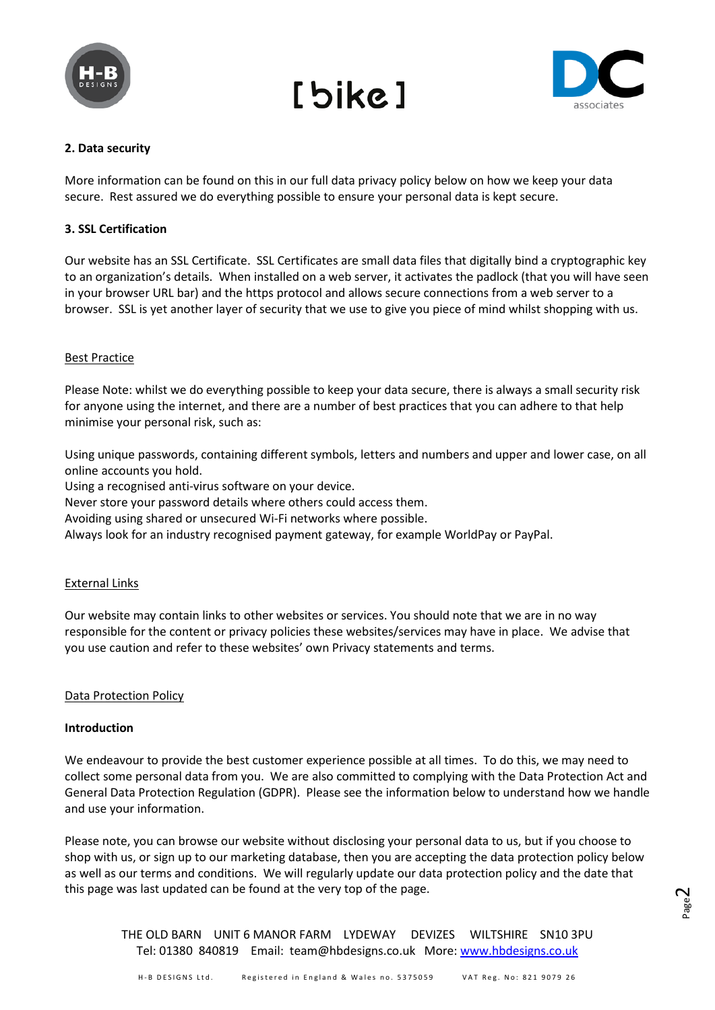

[bike]



# **2. Data security**

More information can be found on this in our full data privacy policy below on how we keep your data secure. Rest assured we do everything possible to ensure your personal data is kept secure.

## **3. SSL Certification**

Our website has an SSL Certificate. SSL Certificates are small data files that digitally bind a cryptographic key to an organization's details. When installed on a web server, it activates the padlock (that you will have seen in your browser URL bar) and the https protocol and allows secure connections from a web server to a browser. SSL is yet another layer of security that we use to give you piece of mind whilst shopping with us.

# Best Practice

Please Note: whilst we do everything possible to keep your data secure, there is always a small security risk for anyone using the internet, and there are a number of best practices that you can adhere to that help minimise your personal risk, such as:

Using unique passwords, containing different symbols, letters and numbers and upper and lower case, on all online accounts you hold.

Using a recognised anti-virus software on your device.

Never store your password details where others could access them.

Avoiding using shared or unsecured Wi-Fi networks where possible.

Always look for an industry recognised payment gateway, for example WorldPay or PayPal.

## External Links

Our website may contain links to other websites or services. You should note that we are in no way responsible for the content or privacy policies these websites/services may have in place. We advise that you use caution and refer to these websites' own Privacy statements and terms.

## Data Protection Policy

#### **Introduction**

We endeavour to provide the best customer experience possible at all times. To do this, we may need to collect some personal data from you. We are also committed to complying with the Data Protection Act and General Data Protection Regulation (GDPR). Please see the information below to understand how we handle and use your information.

Please note, you can browse our website without disclosing your personal data to us, but if you choose to shop with us, or sign up to our marketing database, then you are accepting the data protection policy below as well as our terms and conditions. We will regularly update our data protection policy and the date that this page was last updated can be found at the very top of the page.

Page  $\boldsymbol{\sim}$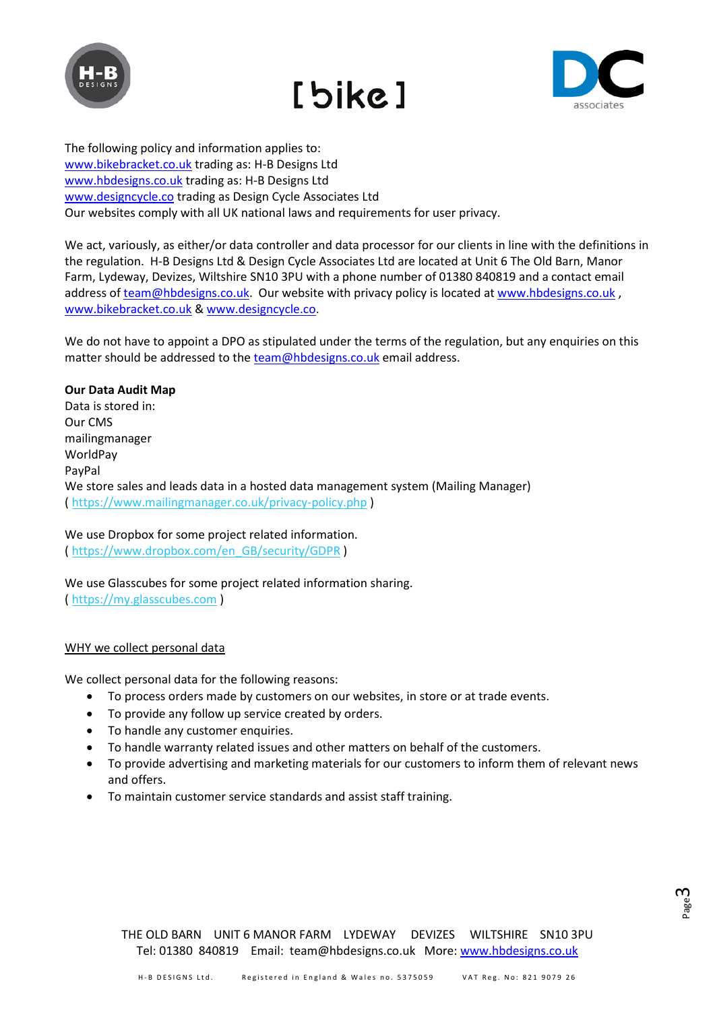





Page ო

The following policy and information applies to: [www.bikebracket.co.uk](http://www.bikebracket.co.uk/) trading as: H-B Designs Ltd [www.hbdesigns.co.uk](http://www.hbdesigns.co.uk/) trading as: H-B Designs Ltd [www.designcycle.co](http://www.designcycle.co/) trading as Design Cycle Associates Ltd Our websites comply with all UK national laws and requirements for user privacy.

We act, variously, as either/or data controller and data processor for our clients in line with the definitions in the regulation. H-B Designs Ltd & Design Cycle Associates Ltd are located at Unit 6 The Old Barn, Manor Farm, Lydeway, Devizes, Wiltshire SN10 3PU with a phone number of 01380 840819 and a contact email address of [team@hbdesigns.co.uk.](mailto:team@hbdesigns.co.uk) Our website with privacy policy is located a[t www.hbdesigns.co.uk](http://www.hbdesigns.co.uk/), [www.bikebracket.co.uk](http://www.bikebracket.co.uk/) & [www.designcycle.co.](http://www.designcycle.co/)

We do not have to appoint a DPO as stipulated under the terms of the regulation, but any enquiries on this matter should be addressed to the [team@hbdesigns.co.uk](mailto:team@hbdesigns.co.uk) email address.

## **Our Data Audit Map**

Data is stored in: Our CMS mailingmanager WorldPay PayPal We store sales and leads data in a hosted data management system (Mailing Manager) ( <https://www.mailingmanager.co.uk/privacy-policy.php> )

## We use Dropbox for some project related information.

( [https://www.dropbox.com/en\\_GB/security/GDPR](https://www.dropbox.com/en_GB/security/GDPR) )

We use Glasscubes for some project related information sharing. ( [https://my.glasscubes.com](https://my.glasscubes.com/) )

## WHY we collect personal data

We collect personal data for the following reasons:

- To process orders made by customers on our websites, in store or at trade events.
- To provide any follow up service created by orders.
- To handle any customer enquiries.
- To handle warranty related issues and other matters on behalf of the customers.
- To provide advertising and marketing materials for our customers to inform them of relevant news and offers.
- To maintain customer service standards and assist staff training.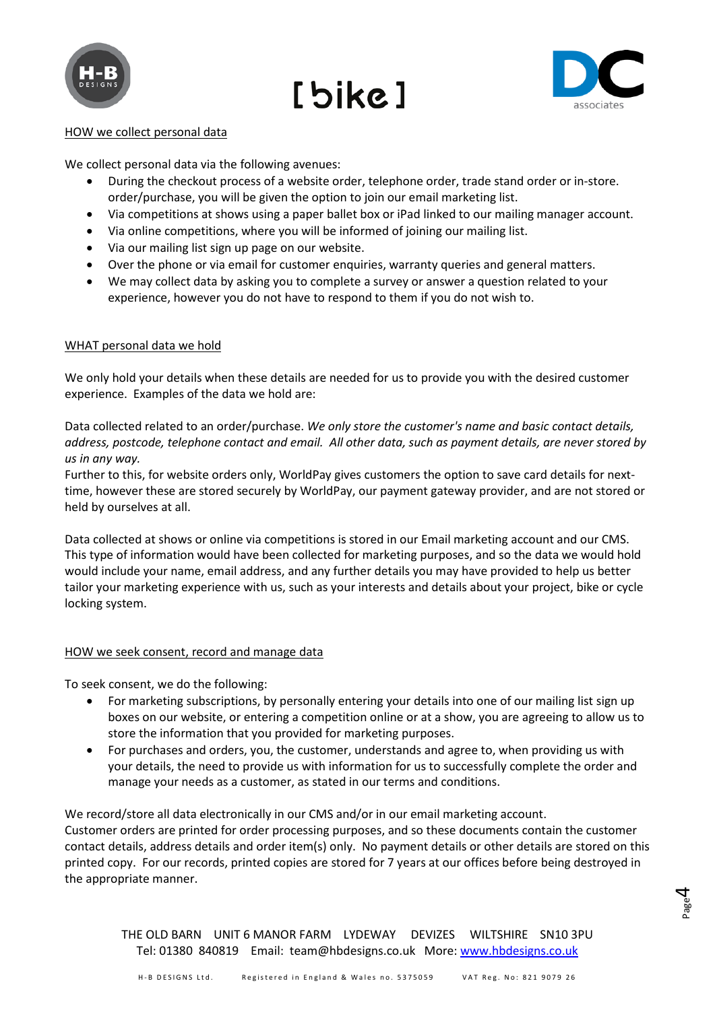

[bike]



## HOW we collect personal data

We collect personal data via the following avenues:

- During the checkout process of a website order, telephone order, trade stand order or in-store. order/purchase, you will be given the option to join our email marketing list.
- Via competitions at shows using a paper ballet box or iPad linked to our mailing manager account.
- Via online competitions, where you will be informed of joining our mailing list.
- Via our mailing list sign up page on our website.
- Over the phone or via email for customer enquiries, warranty queries and general matters.
- We may collect data by asking you to complete a survey or answer a question related to your experience, however you do not have to respond to them if you do not wish to.

#### WHAT personal data we hold

We only hold your details when these details are needed for us to provide you with the desired customer experience. Examples of the data we hold are:

Data collected related to an order/purchase. *We only store the customer's name and basic contact details, address, postcode, telephone contact and email. All other data, such as payment details, are never stored by us in any way.*

Further to this, for website orders only, WorldPay gives customers the option to save card details for nexttime, however these are stored securely by WorldPay, our payment gateway provider, and are not stored or held by ourselves at all.

Data collected at shows or online via competitions is stored in our Email marketing account and our CMS. This type of information would have been collected for marketing purposes, and so the data we would hold would include your name, email address, and any further details you may have provided to help us better tailor your marketing experience with us, such as your interests and details about your project, bike or cycle locking system.

## HOW we seek consent, record and manage data

To seek consent, we do the following:

- For marketing subscriptions, by personally entering your details into one of our mailing list sign up boxes on our website, or entering a competition online or at a show, you are agreeing to allow us to store the information that you provided for marketing purposes.
- For purchases and orders, you, the customer, understands and agree to, when providing us with your details, the need to provide us with information for us to successfully complete the order and manage your needs as a customer, as stated in our terms and conditions.

We record/store all data electronically in our CMS and/or in our email marketing account. Customer orders are printed for order processing purposes, and so these documents contain the customer contact details, address details and order item(s) only. No payment details or other details are stored on this printed copy. For our records, printed copies are stored for 7 years at our offices before being destroyed in the appropriate manner.

Page 4